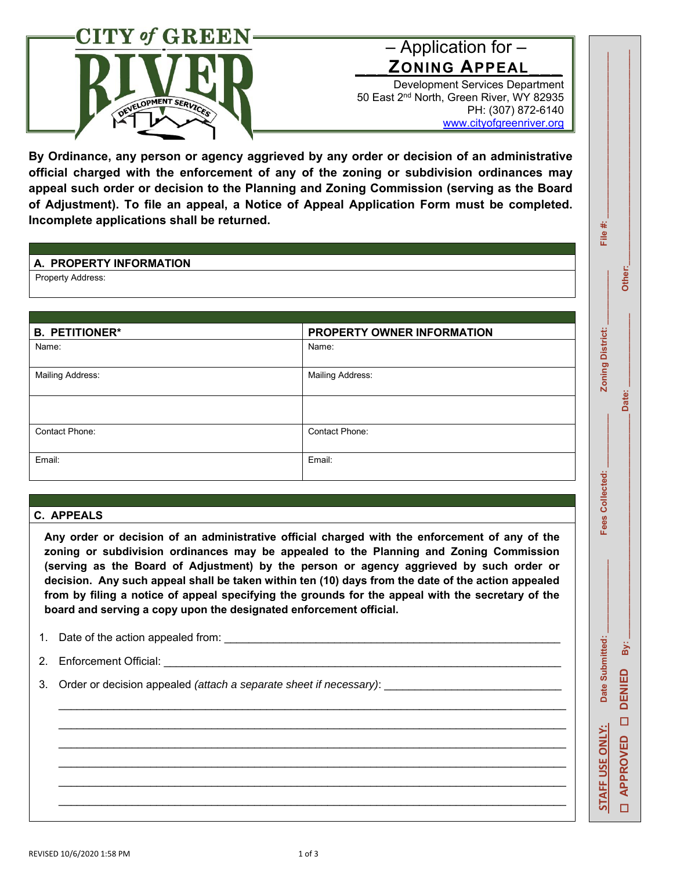

# – Application for – **\_\_\_ZONING APPEAL\_\_\_**

Development Services Department 50 East 2nd North, Green River, WY 82935 PH: (307) 872-6140

www.cityofgreenriver.org

**By Ordinance, any person or agency aggrieved by any order or decision of an administrative official charged with the enforcement of any of the zoning or subdivision ordinances may appeal such order or decision to the Planning and Zoning Commission (serving as the Board of Adjustment). To file an appeal, a Notice of Appeal Application Form must be completed. Incomplete applications shall be returned.** 

## **A. PROPERTY INFORMATION**

Property Address:

| <b>B. PETITIONER*</b>   | PROPERTY OWNER INFORMATION |
|-------------------------|----------------------------|
| Name:                   | Name:                      |
| <b>Mailing Address:</b> | <b>Mailing Address:</b>    |
|                         |                            |
| Contact Phone:          | <b>Contact Phone:</b>      |
| Email:                  | Email:                     |

## **C. APPEALS**

**Any order or decision of an administrative official charged with the enforcement of any of the zoning or subdivision ordinances may be appealed to the Planning and Zoning Commission (serving as the Board of Adjustment) by the person or agency aggrieved by such order or decision. Any such appeal shall be taken within ten (10) days from the date of the action appealed from by filing a notice of appeal specifying the grounds for the appeal with the secretary of the board and serving a copy upon the designated enforcement official.** 

\_\_\_\_\_\_\_\_\_\_\_\_\_\_\_\_\_\_\_\_\_\_\_\_\_\_\_\_\_\_\_\_\_\_\_\_\_\_\_\_\_\_\_\_\_\_\_\_\_\_\_\_\_\_\_\_\_\_\_\_\_\_\_\_\_\_\_\_\_\_\_\_\_\_\_\_\_\_\_\_\_\_\_

\_\_\_\_\_\_\_\_\_\_\_\_\_\_\_\_\_\_\_\_\_\_\_\_\_\_\_\_\_\_\_\_\_\_\_\_\_\_\_\_\_\_\_\_\_\_\_\_\_\_\_\_\_\_\_\_\_\_\_\_\_\_\_\_\_\_\_\_\_\_\_\_\_\_\_\_\_\_\_\_\_\_\_

1. Date of the action appealed from:

2. Enforcement Official:

3. Order or decision appealed *(attach a separate sheet if necessary)*:

# File

**Zoning District:** 

Fees Collected:

Other:

Date: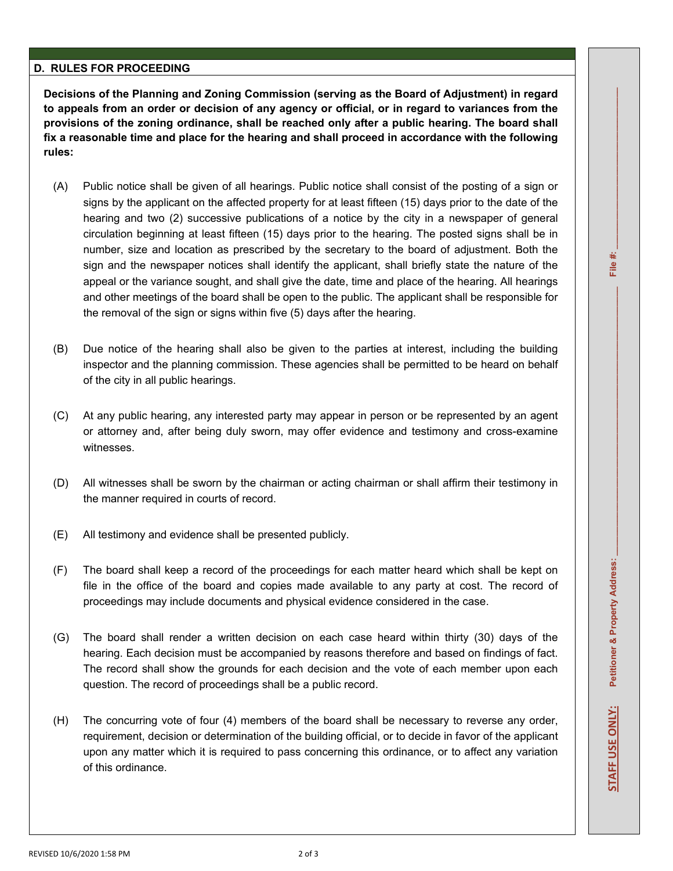#### **D. RULES FOR PROCEEDING**

**Decisions of the Planning and Zoning Commission (serving as the Board of Adjustment) in regard to appeals from an order or decision of any agency or official, or in regard to variances from the provisions of the zoning ordinance, shall be reached only after a public hearing. The board shall fix a reasonable time and place for the hearing and shall proceed in accordance with the following rules:** 

- (A) Public notice shall be given of all hearings. Public notice shall consist of the posting of a sign or signs by the applicant on the affected property for at least fifteen (15) days prior to the date of the hearing and two (2) successive publications of a notice by the city in a newspaper of general circulation beginning at least fifteen (15) days prior to the hearing. The posted signs shall be in number, size and location as prescribed by the secretary to the board of adjustment. Both the sign and the newspaper notices shall identify the applicant, shall briefly state the nature of the appeal or the variance sought, and shall give the date, time and place of the hearing. All hearings and other meetings of the board shall be open to the public. The applicant shall be responsible for the removal of the sign or signs within five (5) days after the hearing.
- (B) Due notice of the hearing shall also be given to the parties at interest, including the building inspector and the planning commission. These agencies shall be permitted to be heard on behalf of the city in all public hearings.
- (C) At any public hearing, any interested party may appear in person or be represented by an agent or attorney and, after being duly sworn, may offer evidence and testimony and cross-examine witnesses.
- (D) All witnesses shall be sworn by the chairman or acting chairman or shall affirm their testimony in the manner required in courts of record.
- (E) All testimony and evidence shall be presented publicly.
- (F) The board shall keep a record of the proceedings for each matter heard which shall be kept on file in the office of the board and copies made available to any party at cost. The record of proceedings may include documents and physical evidence considered in the case.
- (G) The board shall render a written decision on each case heard within thirty (30) days of the hearing. Each decision must be accompanied by reasons therefore and based on findings of fact. The record shall show the grounds for each decision and the vote of each member upon each question. The record of proceedings shall be a public record.
- (H) The concurring vote of four (4) members of the board shall be necessary to reverse any order, requirement, decision or determination of the building official, or to decide in favor of the applicant upon any matter which it is required to pass concerning this ordinance, or to affect any variation of this ordinance.